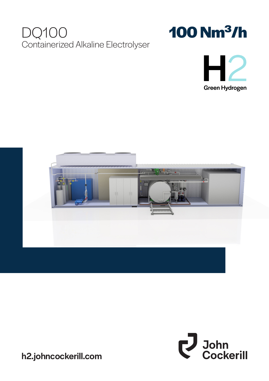# DQ100 Containerized Alkaline Electrolyser









h2.johncockerill.com